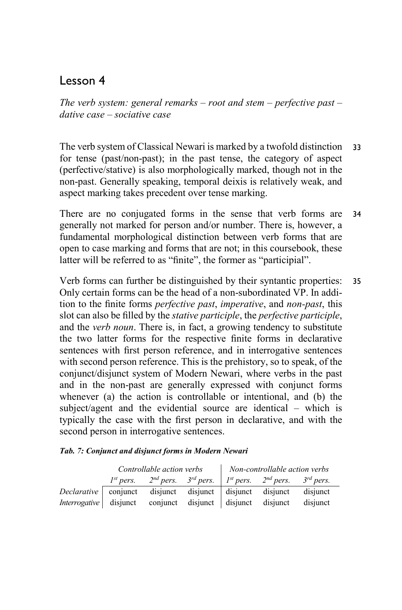## Lesson 4

*The verb system: general remarks – root and stem – perfective past – dative case – sociative case*

The verb system of Classical Newari is marked by a twofold distinction for tense (past/non-past); in the past tense, the category of aspect (perfective/stative) is also morphologically marked, though not in the non-past. Generally speaking, temporal deixis is relatively weak, and aspect marking takes precedent over tense marking. 33

There are no conjugated forms in the sense that verb forms are generally not marked for person and/or number. There is, however, a fundamental morphological distinction between verb forms that are open to case marking and forms that are not; in this coursebook, these latter will be referred to as "finite", the former as "participial". 34

Verb forms can further be distinguished by their syntantic properties: Only certain forms can be the head of a non-subordinated VP. In addition to the finite forms *perfective past*, *imperative*, and *non-past*, this slot can also be filled by the *stative participle*, the *perfective participle*, and the *verb noun*. There is, in fact, a growing tendency to substitute the two latter forms for the respective finite forms in declarative sentences with first person reference, and in interrogative sentences with second person reference. This is the prehistory, so to speak, of the conjunct/disjunct system of Modern Newari, where verbs in the past and in the non-past are generally expressed with conjunct forms whenever (a) the action is controllable or intentional, and (b) the subject/agent and the evidential source are identical – which is typically the case with the first person in declarative, and with the second person in interrogative sentences. 35

|  | Tab. 7: Conjunct and disjunct forms in Modern Newari |  |  |  |
|--|------------------------------------------------------|--|--|--|
|  |                                                      |  |  |  |

|                                                                   | Controllable action verbs |                                                                                                  |  | Non-controllable action verbs |  |          |
|-------------------------------------------------------------------|---------------------------|--------------------------------------------------------------------------------------------------|--|-------------------------------|--|----------|
|                                                                   |                           | $1^{st}$ pers. 2 <sup>nd</sup> pers. $3^{rd}$ pers. $1^{st}$ pers. $2^{nd}$ pers. $3^{rd}$ pers. |  |                               |  |          |
| Declarative conjunct disjunct disjunct disjunct disjunct disjunct |                           |                                                                                                  |  |                               |  |          |
| <i>Interrogative</i> disjunct conjunct disjunct disjunct disjunct |                           |                                                                                                  |  |                               |  | disiunct |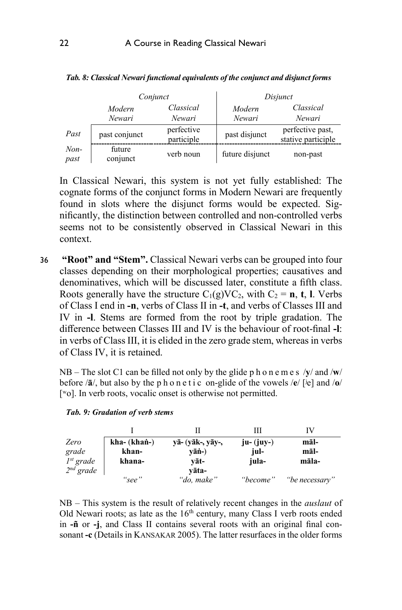|                |                    | Conjunct                 | Disjunct         |                                        |  |
|----------------|--------------------|--------------------------|------------------|----------------------------------------|--|
|                | Modern<br>Newari   | Classical<br>Newari      | Modern<br>Newari | Classical<br>Newari                    |  |
| Past           | past conjunct      | perfective<br>participle | past disjunct    | perfective past,<br>stative participle |  |
| $Non-$<br>past | future<br>conjunct | verb noun                | future disjunct  | non-past                               |  |

*Tab. 8: Classical Newari functional equivalents of the conjunct and disjunct forms*

In Classical Newari, this system is not yet fully established: The cognate forms of the conjunct forms in Modern Newari are frequently found in slots where the disjunct forms would be expected. Significantly, the distinction between controlled and non-controlled verbs seems not to be consistently observed in Classical Newari in this context.

 **"Root" and "Stem".** Classical Newari verbs can be grouped into four classes depending on their morphological properties; causatives and denominatives, which will be discussed later, constitute a fifth class. Roots generally have the structure  $C_1(g)VC_2$ , with  $C_2 = \mathbf{n}$ , **t**, **l**. Verbs of Class I end in **-n**, verbs of Class II in **-t**, and verbs of Classes III and IV in **-l**. Stems are formed from the root by triple gradation. The difference between Classes III and IV is the behaviour of root-final **-l**: in verbs of Class III, it is elided in the zero grade stem, whereas in verbs of Class IV, it is retained. 36

NB – The slot C1 can be filled not only by the glide phonemes /**y**/ and /**w**/ before /**ā**/, but also by the phonetic on-glide of the vowels /**e**/ [ʲe] and /**o**/ [<sup>w</sup>o]. In verb roots, vocalic onset is otherwise not permitted.

|                |                |                           | Ш           |                |
|----------------|----------------|---------------------------|-------------|----------------|
| Zero           | $kha- (khañ-)$ | $v\bar{a}$ - (vāk-, vāv-, | $ju-(iuv-)$ | māl-           |
| grade          | khan-          | $v\bar{a}n$ -)            | jul-        | māl-           |
| $I^{st}$ grade | khana-         | vāt-                      | jula-       | māla-          |
| $2nd$ grade    |                | vāta-                     |             |                |
|                | "see"          | "do, make"                | "become"    | "be necessary" |

*Tab. 9: Gradation of verb stems*

NB – This system is the result of relatively recent changes in the *auslaut* of Old Newari roots; as late as the  $16<sup>th</sup>$  century, many Class I verb roots ended in **-ñ** or **-j**, and Class II contains several roots with an original final consonant **-c** (Details in KANSAKAR 2005). The latter resurfaces in the older forms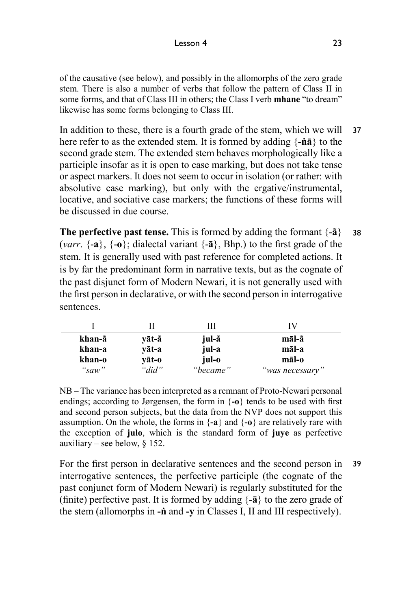of the causative (see below), and possibly in the allomorphs of the zero grade stem. There is also a number of verbs that follow the pattern of Class II in some forms, and that of Class III in others; the Class I verb **mhane** "to dream" likewise has some forms belonging to Class III.

In addition to these, there is a fourth grade of the stem, which we will here refer to as the extended stem. It is formed by adding {**-ṅā**} to the second grade stem. The extended stem behaves morphologically like a participle insofar as it is open to case marking, but does not take tense or aspect markers. It does not seem to occur in isolation (or rather: with absolutive case marking), but only with the ergative/instrumental, locative, and sociative case markers; the functions of these forms will be discussed in due course. 37

**The perfective past tense.** This is formed by adding the formant  $\{-\tilde{a}\}$ (*varr*. {-**a**}, {-**o**}; dialectal variant {-**ā**}, Bhp.) to the first grade of the stem. It is generally used with past reference for completed actions. It is by far the predominant form in narrative texts, but as the cognate of the past disjunct form of Modern Newari, it is not generally used with the first person in declarative, or with the second person in interrogative sentences. 38

| khan-ã | vāt-ã     | jul-ã    | māl-ã           |
|--------|-----------|----------|-----------------|
| khan-a | vāt-a     | jul-a    | māl-a           |
| khan-o | vāt-o     | jul-o    | māl-o           |
| "saw"  | " $did$ " | "became" | "was necessary" |

NB – The variance has been interpreted as a remnant of Proto-Newari personal endings; according to Jørgensen, the form in {**-o**} tends to be used with first and second person subjects, but the data from the NVP does not support this assumption. On the whole, the forms in {**-a**} and {**-o**} are relatively rare with the exception of **julo**, which is the standard form of **juye** as perfective auxiliary – see below,  $§$  152.

For the first person in declarative sentences and the second person in interrogative sentences, the perfective participle (the cognate of the past conjunct form of Modern Newari) is regularly substituted for the (finite) perfective past. It is formed by adding {**-ā**} to the zero grade of the stem (allomorphs in **-ṅ** and **-y** in Classes I, II and III respectively). 39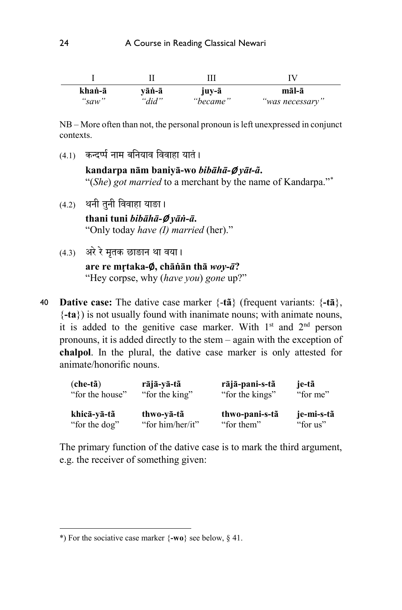| khaṅ-ā | vāṅ-ā | juy-ā    | māl-ā           |
|--------|-------|----------|-----------------|
| "saw"  | "did" | "became" | "was necessary" |

NB – More often than not, the personal pronoun is left unexpressed in conjunct contexts.

 $(4.1)$  कन्दर्प्य नाम बनियाव विवाहा यातं।

**kandarpa nām baniyā-wo** *bibāhā-*∅ *yāt-ã***.** "(*She*) *got married* to a merchant by the name of Kandarpa."\*

- $(4.2)$  थनी तुनी विवाहा याङा। **thani tuni** *bibāhā-*∅ *yāṅ-ā***.**  "Only today *have (I) married* (her)."
- $(4.3)$  अरे रे मतक छाङान था वया।

**are re mṛtaka-**∅**, chāṅān thā** *woy-ā***?**  "Hey corpse, why (*have you*) *gone* up?"

**Dative case:** The dative case marker {-**tã**} (frequent variants: {**-tā**}, {**-ta**}) is not usually found with inanimate nouns; with animate nouns, it is added to the genitive case marker. With  $1<sup>st</sup>$  and  $2<sup>nd</sup>$  person pronouns, it is added directly to the stem ‒ again with the exception of **chalpol**. In the plural, the dative case marker is only attested for animate/honorific nouns. 40

| $(che-t\tilde{a})$ | rājā-yā-tã       | rājā-pani-s-tã  | je-tã      |
|--------------------|------------------|-----------------|------------|
| "for the house"    | "for the king"   | "for the kings" | "for me"   |
| khicā-vā-tã        | thwo-vā-tã       | thwo-pani-s-tã  | je-mi-s-tã |
| "for the dog"      | "for him/her/it" | "for them"      | "for us"   |

The primary function of the dative case is to mark the third argument, e.g. the receiver of something given:

 $\overline{a}$ 

<sup>\*)</sup> For the sociative case marker {**-wo**} see below, § 41.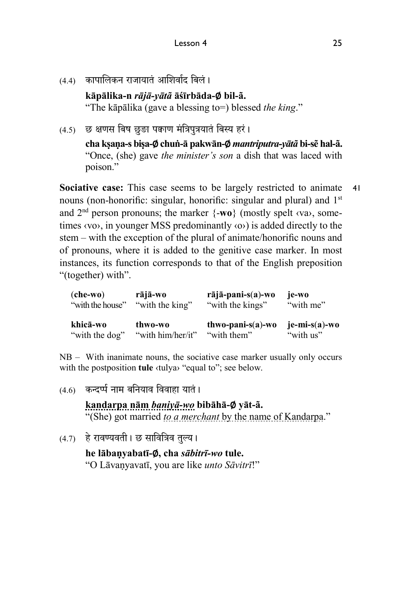(4.4) कापालिकन राजायातं आशिर्वाद बिलं।

**kāpālika-n** *rājā-yātã* **āśīrbāda-**∅ **bil-ã.** "The kāpālika (gave a blessing to=) blessed *the king*."

 $(4.5)$  छ क्षणस बिष छुङा पक्वाण मंत्रिपत्रयातं बिस्य हरं।

**cha kṣaṇa-s biṣa-**∅**chuṅ-ā pakwān-**∅*mantriputra-yātã* **bi-sẽ hal-ã.**  "Once, (she) gave *the minister's son* a dish that was laced with poison."

**Sociative case:** This case seems to be largely restricted to animate nouns (non-honorific: singular, honorific: singular and plural) and 1<sup>st</sup> and  $2<sup>nd</sup>$  person pronouns; the marker  $\{-w_0\}$  (mostly spelt  $\langle va \rangle$ , sometimes  $\langle v \rangle$ , in younger MSS predominantly  $\langle \circ \rangle$  is added directly to the stem – with the exception of the plural of animate/honorific nouns and of pronouns, where it is added to the genitive case marker. In most instances, its function corresponds to that of the English preposition "(together) with". 41

| $(che-wo)$       | rājā-wo           | $r\bar{a}j\bar{a}$ -pani-s $(a)$ -wo | je-wo              |
|------------------|-------------------|--------------------------------------|--------------------|
| "with the house" | "with the king"   | "with the kings"                     | "with me"          |
| khicā-wo         | thwo-wo           | $thwo-pani-s(a)-wo$                  | $j_{e}-mi-s(a)-wo$ |
| "with the dog"   | "with him/her/it" | "with them"                          | "with us"          |

NB – With inanimate nouns, the sociative case marker usually only occurs with the postposition **tule** <tulya> "equal to"; see below.

 $(4.6)$  कन्दर्प्प नाम बनियाव विवाहा यातं।

**kandarpa nām** *baniyā-wo* **bibāhā-**∅ **yāt-ã.** "(She) got married *to a merchant* by the name of Kandarpa."

 $(4.7)$  हे रावण्यवती । छ सावित्रिव तुल्य ।

**he lābaṇyabatī-**∅**, cha** *sābitrī-wo* **tule.**  "O Lāvaṇyavatī, you are like *unto Sāvitrī*!"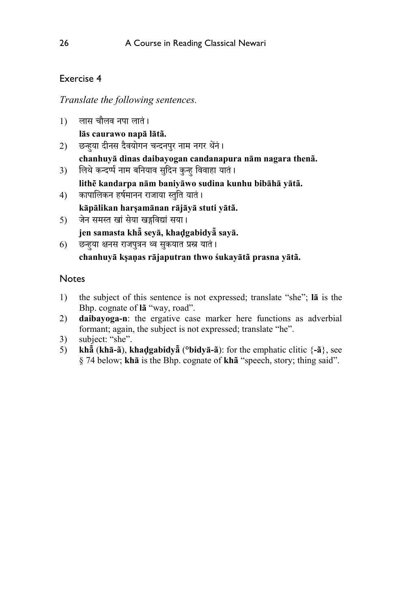## Exercise 4

*Translate the following sentences.*

1) लास चौलव नपा लातं।

**lās caurawo napā lātã.**

- 2) छन्हुया दीनस दैवयोगन चन्दनपुर नाम नगर थेने। **chanhuyā dinas daibayogan candanapura nām nagara thenã.**
- 3) लिथे कन्दर्प्प नाम बनियाव सुदिन कुन्ह विवाहा यातं।

**lithẽ kandarpa nām baniyāwo sudina kunhu bibāhā yātã.** 

- 4) कापालिकन हर्षमानन राजाया स्तुति यातं। **kāpālikan harṣamānan rājāyā stuti yātã.**
- 5) जेन समस्त खां सेया खड़विद्यां सया। **jen samasta khā̃ seyā, khaḍgabidyā̃sayā.**
- 6) छन्हुया क्षनस राजपुत्रन थ्व सुकयात प्रस्न यातं। **chanhuyā kṣaṇas rājaputran thwo śukayātã prasna yātã.**

## Notes

- 1) the subject of this sentence is not expressed; translate "she"; **lā** is the Bhp. cognate of **lã** "way, road".
- 2) **daibayoga-n**: the ergative case marker here functions as adverbial formant; again, the subject is not expressed; translate "he".
- 3) subject: "she".
- 5) **khā̃**(**khā-ã**), **khaḍgabidyā̃**(**°bidyā-ã**): for the emphatic clitic {**-ã**}, see § 74 below; **khā** is the Bhp. cognate of **khã** "speech, story; thing said".